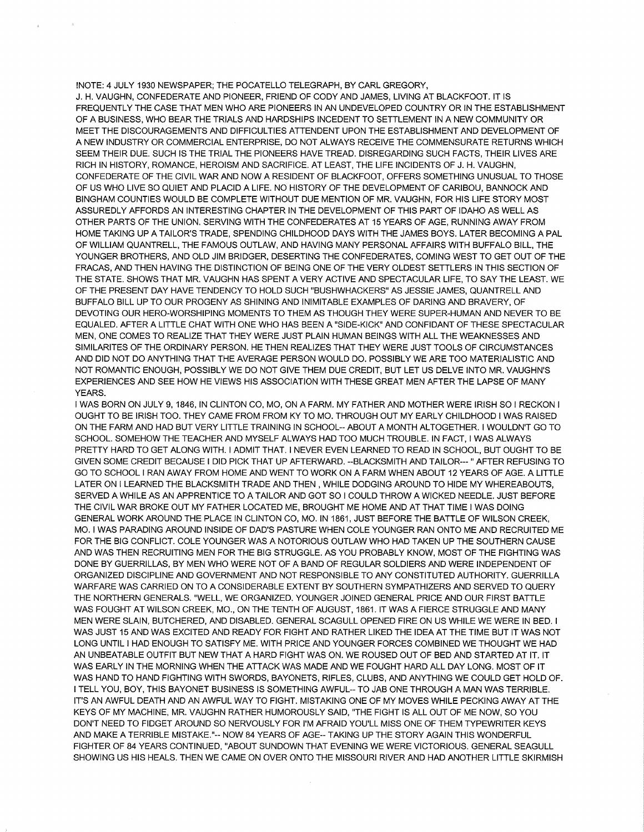!NOTE: 4 JULY 1930 NEWSPAPER; THE POCATELLO TELEGRAPH, BY CARL GREGORY, J. H. VAUGHN, CONFEDERATE AND PIONEER, FRIEND OF CODY AND JAMES, LIVING AT BLACKFOOT. IT IS FREQUENTLY THE CASE THAT MEN WHO ARE PIONEERS IN AN UNDEVELOPED COUNTRY OR IN THE ESTABLISHMENT OF A BUSINESS, WHO BEAR THE TRIALS AND HARDSHIPS INCEDENT TO SETTLEMENT IN A NEW COMMUNITY OR MEET THE DISCOURAGEMENTS AND DIFFICULTIES ATTENDENT UPON THE ESTABLISHMENT AND DEVELOPMENT OF A NEW INDUSTRY OR COMMERCIAL ENTERPRISE, DO NOT ALWAYS RECEIVE THE COMMENSURATE RETURNS WHICH SEEM THEIR DUE. SUCH IS THE TRIAL THE PIONEERS HAVE TREAD. DISREGARDING SUCH FACTS, THEIR LIVES ARE RICH IN HISTORY, ROMANCE, HEROISM AND SACRIFICE. AT LEAST, THE LIFE INCIDENTS OF J. H. VAUGHN, CONFEDERATE OF THE CIVIL WAR AND NOW A RESIDENT OF BLACKFOOT, OFFERS SOMETHING UNUSUAL TO THOSE OF US WHO LIVE SO QUIET AND PLACID A LIFE. NO HISTORY OF THE DEVELOPMENT OF CARIBOU, BANNOCK AND BINGHAM COUNTIES WOULD BE COMPLETE WITHOUT DUE MENTION OF MR. VAUGHN, FOR HIS LIFE STORY MOST ASSUREDLY AFFORDS AN INTERESTING CHAPTER IN THE DEVELOPMENT OF THIS PART OF IDAHO AS WELL AS OTHER PARTS OF THE UNION. SERVING WITH THE CONFEDERATES AT 15 YEARS OF AGE, RUNNING AWAY FROM HOME TAKING UP A TAILOR'S TRADE, SPENDING CHILDHOOD DAYS WITH THE JAMES BOYS. LATER BECOMING A PAL OF WILLIAM QUANTRELL, THE FAMOUS OUTLAW, AND HAVING MANY PERSONAL AFFAIRS WITH BUFFALO BILL, THE YOUNGER BROTHERS, AND OLD JIM BRIDGER, DESERTING THE CONFEDERATES, COMING WEST TO GET OUT OF THE FRACAS, AND THEN HAVING THE DISTINCTION OF BEING ONE OF THE VERY OLDEST SETTLERS IN THIS SECTION OF THE STATE. SHOWS THAT MR. VAUGHN HAS SPENT A VERY ACTIVE AND SPECTACULAR LIFE, TO SAY THE LEAST. WE OF THE PRESENT DAY HAVE TENDENCY TO HOLD SUCH "BUSHWHACKERS" AS JESSIE JAMES, QUANTRELL AND BUFFALO BILL UP TO OUR PROGENY AS SHINING AND INIMITABLE EXAMPLES OF DARING AND BRAVERY, OF DEVOTING OUR HERO-WORSHIPING MOMENTS TO THEM AS THOUGH THEY WERE SUPER-HUMAN AND NEVER TO BE EQUALED. AFTER A LITTLE CHAT WITH ONE WHO HAS BEEN A "SIDE-KICK" AND CONFIDANT OF THESE SPECTACULAR MEN, ONE COMES TO REALIZE THAT THEY WERE JUST PLAIN HUMAN BEINGS WITH ALL THE WEAKNESSES AND SIMILARITES OF THE ORDINARY PERSON. HE THEN REALIZES THAT THEY WERE JUST TOOLS OF CIRCUMSTANCES AND DID NOT DO ANYTHING THAT THE AVERAGE PERSON WOULD DO. POSSIBLY WE ARE TOO MATERIALISTIC AND NOT ROMANTIC ENOUGH, POSSIBLY WE DO NOT GIVE THEM DUE CREDIT, BUT LET US DELVE INTO MR. VAUGHN'S EXPERIENCES AND SEE HOW HE VIEWS HIS ASSOCIATION WITH THESE GREAT MEN AFTERTHE LAPSE OF MANY YEARS.

I WAS BORN ON JULY 9, 1846, IN CLINTON CO, MO, ON A FARM. MY FATHER AND MOTHER WERE !RISH SO I RECKON I OUGHT TO BE !RISH TOO. THEY CAME FROM FROM KY TO MO. THROUGH OUT MY EARLY CHILDHOOD I WAS RAISED ON THE FARM AND HAD BUT VERY LITTLE TRAINING IN SCHOOL-- ABOUT A MONTH AL TOGETHER. I WOULDN'T GO TO SCHOOL. SOMEHOW THE TEACHER AND MYSELF ALWAYS HAD TOO MUCH TROUBLE. IN FACT, I WAS ALWAYS PRETTY HARD TO GET ALONG WITH. I ADMIT THAT. I NEVER EVEN LEARNED TO READ IN SCHOOL, BUT OUGHT TO BE GIVEN SOME CREDIT BECAUSE I DID PICK THAT UP AFTERWARD. --BLACKSMITH AND TAILOR---" AFTER REFUSING TO GO TO SCHOOL I RAN AWAY FROM HOME AND WENT TO WORK ON A FARM WHEN ABOUT 12 YEARS OF AGE. A LITTLE LATER ON I LEARNED THE BLACKSMITH TRADE AND THEN , WHILE DODGING AROUND TO HIDE MY WHEREABOUTS, SERVED A WHILE AS AN APPRENTICE TO A TAILOR AND GOT SO I COULD THROW A WICKED NEEDLE. JUST BEFORE THE CIVIL WAR BROKE OUT MY FATHER LOCATED ME, BROUGHT ME HOME AND AT THAT TIME I WAS DOING GENERAL WORK AROUND THE PLACE IN CLINTON CO, MO. IN 1861, JUST BEFORE THE BATTLE OF WILSON CREEK, MO. I WAS PARADING AROUND INSIDE OF DAD'S PASTURE WHEN COLE YOUNGER RAN ONTO ME AND RECRUITED ME FOR THE BIG CONFLICT. COLE YOUNGER WAS A NOTORIOUS OUTLAW WHO HAD TAKEN UP THE SOUTHERN CAUSE AND WAS THEN RECRUITING MEN FOR THE BIG STRUGGLE. AS YOU PROBABLY KNOW, MOST OF THE FIGHTING WAS DONE BY GUERRILLAS, BY MEN WHO WERE NOT OF A BAND OF REGULAR SOLDIERS AND WERE INDEPENDENT OF ORGANIZED DISCIPLINE AND GOVERNMENT AND NOT RESPONSIBLE TO ANY CONSTITUTED AUTHORITY. GUERRILLA WARFARE WAS CARRIED ON TO A CONSIDERABLE EXTENT BY SOUTHERN SYMPATHIZERS AND SERVED TO QUERY THE NORTHERN GENERALS. "WELL, WE ORGANIZED. YOUNGER JOINED GENERAL PRICE AND OUR FIRST BATTLE WAS FOUGHT AT WILSON CREEK, MO., ON THE TENTH OF AUGUST, 1861. IT WAS A FIERCE STRUGGLE AND MANY MEN WERE SLAIN, BUTCHERED, AND DISABLED. GENERAL SCAGULL OPENED FIRE ON US WHILE WE WERE IN BED. I WAS JUST 15 AND WAS EXCITED AND READY FOR FIGHT AND RATHER LIKED THE IDEA AT THE TIME BUT IT WAS NOT LONG UNTIL I HAD ENOUGH TO SATISFY ME. WITH PRICE AND YOUNGER FORCES COMBINED WE THOUGHT WE HAD AN UNBEATABLE OUTFIT BUT NEW THAT A HARD FIGHT WAS ON. WE ROUSED OUT OF BED AND STARTED AT IT. IT WAS EARLY IN THE MORNING WHEN THE ATTACK WAS MADE AND WE FOUGHT HARD ALL DAY LONG. MOST OF IT WAS HAND TO HAND FIGHTING WITH SWORDS, BAYONETS, RIFLES, CLUBS, AND ANYTHING WE COULD GET HOLD OF. I TELL YOU, BOY, THIS BAYONET BUSINESS IS SOMETHING AWFUL-- TO JAB ONE THROUGH A MAN WAS TERRIBLE. IT'S AN AWFUL DEATH AND AN AWFUL WAY TO FIGHT. MISTAKING ONE OF MY MOVES WHILE PECKING AWAY ATTHE KEYS OF MY MACHINE, MR. VAUGHN RATHER HUMOROUSLY SAID, "THE FIGHT IS ALL OUT OF ME NOW, SO YOU DON'T NEED TO FIDGET AROUND SO NERVOUSLY FOR l'M AFRAID YOU'LL MISS ONE OF THEM TYPEWRITER KEYS AND MAKE A TERRIBLE MISTAKE."-- NOW 84 YEARS OF AGE-- TAKING UP THE STORY AGAIN THIS WONDERFUL FIGHTER OF 84 YEARS CONTINUED, "ABOUT SUNDOWN THAT EVENING WE WERE VICTORIOUS. GENERAL SEAGULL SHOWING US HIS HEALS. THEN WE CAME ON OVER ONTO THE MISSOURI RIVER AND HAD ANOTHER LITTLE SKIRMISH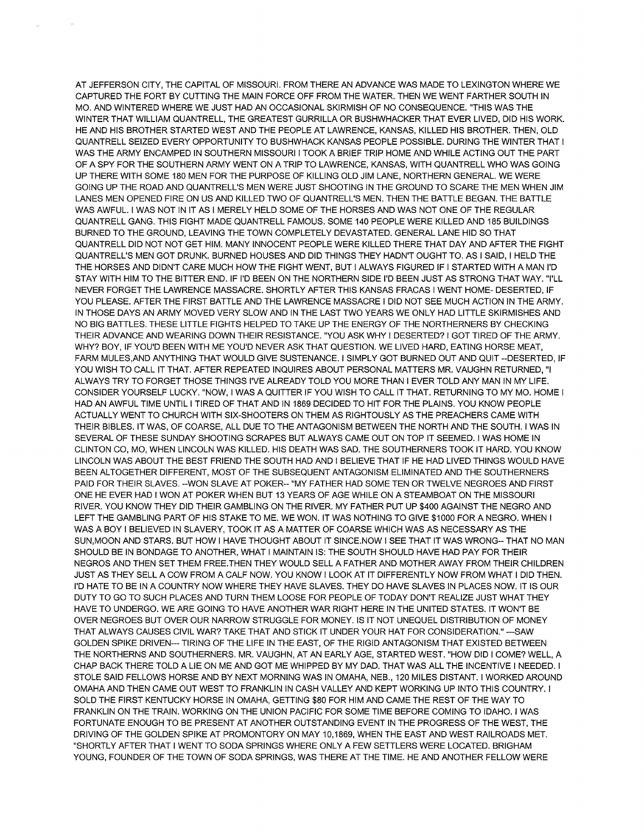AT JEFFERSON CITY, THE CAPITAL OF MISSOURI. FROM THERE AN ADVANCE WAS MADE TO LEXINGTON WHERE WE CAPTURED THE FORT BY CUTTING THE MAIN FORCE OFF FROM THE WATER. THEN WE WENT FARTHER SOUTH IN MO. AND WINTERED WHERE WE JUST HAD AN OCCASIONAL SKIRMISH OF NO CONSEQUENCE. "THIS WAS THE WINTER THAT WILLIAM QUANTRELL, THE GREATEST GURRILLA OR BUSHWHACKER THAT EVER LIVED, DID HIS WORK. HE AND HIS BROTHER STARTED WEST AND THE PEOPLE AT LAWRENCE, KANSAS, KILLED HIS BROTHER. THEN, OLD QUANTRELL SEIZED EVERY OPPORTUNITY TO BUSHWHACK KANSAS PEOPLE POSSIBLE. DURING THE WINTER THAT I WAS THE ARMY ENCAMPED IN SOUTHERN MISSOURI I TOOK A BRIEF TRIP HOME AND WHILE ACTING OUT THE PART OF A SPY FOR THE SOUTHERN ARMY WENT ON A TRIP TO LAWRENCE, KANSAS, WITH QUANTRELL WHO WAS GOING UP THERE WITH SOME 180 MEN FOR THE PURPOSE OF KILLING OLD JIM LANE, NORTHERN GENERAL. WE WERE GOING UP THE ROAD AND QUANTRELL'S MEN WERE JUST SHOOTING IN THE GROUND TO SCARE THE MEN WHEN JIM LANES MEN OPENED FIRE ON US AND KILLED TWO OF QUANTRELL'S MEN. THEN THE BATTLE BEGAN. THE BATTLE WAS AWFUL. I WAS NOT IN IT AS I MERELY HELD SOME OF THE HORSES AND WAS NOT ONE OF THE REGULAR QUANTRELL GANG. THIS FIGHT MADE QUANTRELL FAMOUS. SOME 140 PEOPLE WERE KILLED AND 185 BUILDINGS BURNED TO THE GROUND, LEAVING THE TOWN COMPLETELY DEVASTATED. GENERAL LANE HID SO THAT QUANTRELL DID NOT NOT GET HIM. MANY INNOCENT PEOPLE WERE KILLED THERE THAT DAY AND AFTER THE FIGHT QUANTRELL'S MEN GOT DRUNK. BURNED HOUSES AND DID THINGS THEY HADN'T OUGHT TO. AS I SAID, I HELD THE THE HORSES AND DIDN'T CARE MUCH HOW THE FIGHT WENT, BUT I ALWAYS FIGURED IF I STARTED WITH A MAN l'D STAY WITH HIM TO THE BITTER END. IF l'D BEEN ON THE NORTHERN SIDE l'D BEEN JUST AS STRONG THAT WAY. "l'LL NEVER FORGET THE LAWRENCE MASSACRE. SHORTLY AFTER THIS KANSAS FRACAS I WENT HOME- DESERTED, IF YOU PLEASE. AFTER THE FIRST BATTLE AND THE LAWRENCE MASSACRE I DID NOT SEE MUCH ACTION IN THE ARMY. IN THOSE DAYS AN ARMY MOVED VERY SLOW AND IN THE LAST TWO YEARS WE ONLY HAD LITTLE SKIRMISHES AND NO BIG BATTLES. THESE LITTLE FIGHTS HELPED TO TAKE UP THE ENERGY OF THE NORTHERNERS BY CHECKING THEIR ADVANCE AND WEARING DOWN THEIR RESISTANCE. "YOU ASK WHY I DESERTED? I GOT TIRED OF THE ARMY. WHY? BOY, IF YOU'D BEEN WITH ME YOU'D NEVER ASK THAT QUESTION. WE LIVED HARD, EATING HORSE MEAT, FARM MULES.AND ANYTHING THAT WOULD GIVE SUSTENANCE. I SIMPLY GOT BURNED OUT AND QUIT --DESERTED, IF YOU WISH TO CALL IT THAT. AFTER REPEATED INQUIRES ABOUT PERSONAL MATTERS MR. VAUGHN RETURNED, "I ALWAYS TRY TO FORGET THOSE THINGS l'VE ALREADY TOLD YOU MORE THAN I EVER TOLD ANY MAN IN MY LIFE. CONSIDER YOURSELF LUCKY. "NOW, I WAS A QUITTER IF YOU WISH TO CALL IT THAT. RETURNING TO MY MO. HOME I HAD AN AWFUL TIME UNTIL I TIRED OF THAT AND IN 1869 DECIDED TO HIT FOR THE PLAINS. YOU KNOW PEOPLE ACTUALLY WENT TO CHURCH WITH SIX-SHOOTERS ON THEM AS RIGHTOUSLY AS THE PREACHERS CAME WITH THEIR BIBLES. IT WAS, OF COARSE, ALL DUE TO THE ANTAGONISM BETWEEN THE NORTH AND THE SOUTH. I WAS IN SEVERAL OF THESE SUNDAY SHOOTING SCRAPES BUT ALWAYS CAME OUT ON TOP IT SEEMED. I WAS HOME IN CLINTON CO, MO, WHEN LINCOLN WAS KILLED. HIS DEATH WAS SAD. THE SOUTHERNERS TOOK IT HARD. YOU KNOW LINCOLN WAS ABOUT THE BEST FRIEND THE SOUTH HAD AND I BELIEVE THAT IF HE HAD LIVED THINGS WOULD HAVE BEEN ALTOGETHER DIFFERENT, MOST OF THE SUBSEQUENT ANTAGONISM ELIMINATED AND THE SOUTHERNERS PAID FOR THEIR SLAVES. --WON SLAVE AT POKER-- "MY FATHER HAD SOME TEN OR TWELVE NEGROES AND FIRST ONE HE EVER HAD I WON AT POKER WHEN BUT 13 YEARS OF AGE WHILE ON A STEAMBOAT ON THE MISSOURI RIVER. YOU KNOW THEY DID THEIR GAMBLING ON THE RIVER. MY FATHER PUT UP \$400 AGAINST THE NEGRO AND LEFT THE GAMBLING PART OF HIS STAKE TO ME. WE WON. IT WAS NOTHING TO GIVE \$1000 FOR A NEGRO. WHEN I WAS A BOY I BELIEVED IN SLAVERY, TOOK IT AS A MATTER OF COARSE WHICH WAS AS NECESSARY AS THE SUN.MOON AND STARS. BUT HOW I HAVE THOUGHT ABOUT IT SINCE.NOW I SEE THAT IT WAS WRONG-- THAT NO MAN SHOULD BE IN BONDAGE TO ANOTHER, WHAT I MAINTAIN IS: THE SOUTH SHOULD HAVE HAD PAY FOR THEIR NEGROS AND THEN SET THEM FREE.THEN THEY WOULD SELL A FATHER AND MOTHER AWAY FROM THEIR CHILDREN JUST AS THEY SELL A COW FROM A CALF NOW. YOU KNOW I LOOK AT IT DIFFERENTLY NOW FROM WHAT I DID THEN. l'D HATE TO BE IN A COUNTRY NOW WHERE THEY HAVE SLAVES. THEY DO HAVE SLAVES IN PLACES NOW. IT IS OUR DUTY TO GO TO SUCH PLACES AND TURN THEM LOOSE FOR PEOPLE OF TODAY DON'T REALIZE JUST WHAT THEY HAVE TO UNDERGO. WE ARE GOING TO HAVE ANOTHER WAR RIGHT HERE IN THE UNITED STATES. IT WON'T BE OVER NEGROES BUT OVER OUR NARROW STRUGGLE FOR MONEY. IS IT NOT UNEQUEL DISTRIBUTION OF MONEY THAT ALWAYS CAUSES CIVIL WAR? TAKE THAT AND STICK IT UNDER YOUR HAT FOR CONSIDERATION." ---SAW GOLDEN SPIKE DRIVEN--- TIRING OF THE LIFE IN THE EAST, OF THE RIGID ANTAGONISM THAT EXISTED BETWEEN THE NORTHERNS AND SOUTHERNERS. MR. VAUGHN, AT AN EARLY AGE, STARTED WEST. "HOW DID I COME? WELL, A CHAP BACK THERE TOLD A LIE ON ME AND GOT ME WHIPPED BY MY DAD. THAT WAS ALL THE INCENTIVE I NEEDED. I STOLE SAID FELLOWS HORSE AND BY NEXT MORNING WAS IN OMAHA, NEB., 120 MILES DISTANT. I WORKED AROUND OMAHA AND THEN CAME OUT WEST TO FRANKLIN IN CASH VALLEY AND KEPT WORKING UP INTO THIS COUNTRY. I SOLD THE FIRST KENTUCKY HORSE IN OMAHA, GETTING \$80 FOR HIM AND CAME THE REST OF THE WAY TO FRANKLIN ON THE TRAIN. WORKING ON THE UNION PACIFIC FOR SOME TIME BEFORE COMING TO IDAHO. I WAS FORTUNATE ENOUGH TO BE PRESENT AT ANOTHER OUTSTANDING EVENT IN THE PROGRESS OF THE WEST, THE DRIVING OF THE GOLDEN SPIKE AT PROMONTORY ON MAY 10,1869, WHEN THE EAST AND WEST RAILROADS MET. "SHORTLY AFTER THAT I WENT TO SODA SPRINGS WHERE ONLY A FEW SETTLERS WERE LOCATED. BRIGHAM YOUNG, FOUNDER OF THE TOWN OF SODA SPRINGS, WAS THERE AT THE TIME. HE AND ANOTHER FELLOW WERE